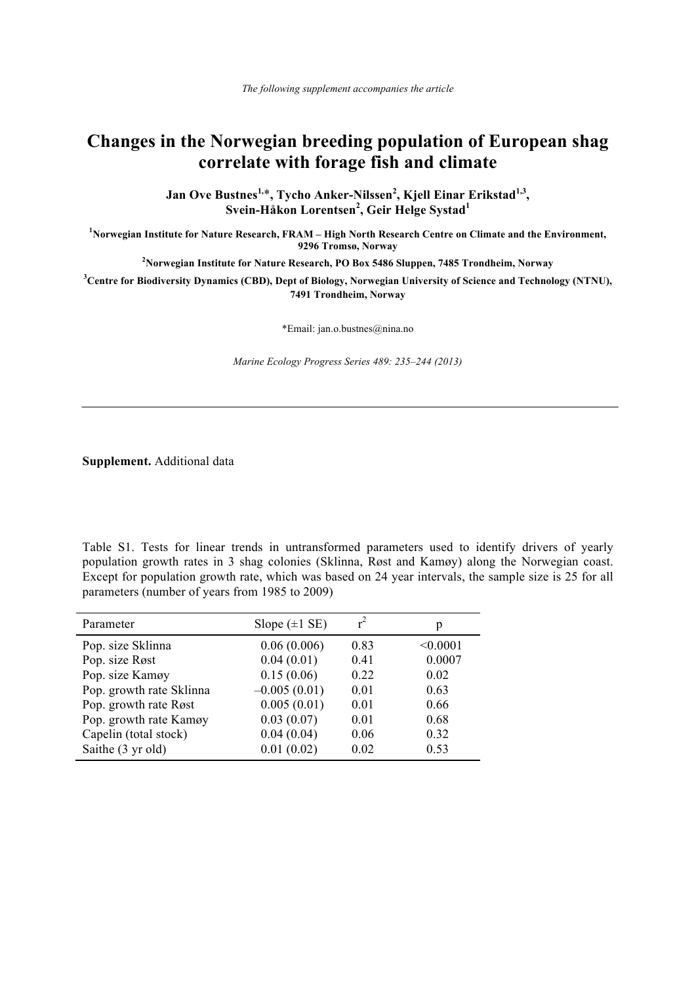## **Changes in the Norwegian breeding population of European shag correlate with forage fish and climate**

**Jan Ove Bustnes1,**\***, Tycho Anker-Nilssen<sup>2</sup> , Kjell Einar Erikstad1,3, Svein-Håkon Lorentsen<sup>2</sup> , Geir Helge Systad<sup>1</sup>**

**1 Norwegian Institute for Nature Research, FRAM – High North Research Centre on Climate and the Environment, 9296 Tromsø, Norway** 

**2 Norwegian Institute for Nature Research, PO Box 5486 Sluppen, 7485 Trondheim, Norway** 

**3 Centre for Biodiversity Dynamics (CBD), Dept of Biology, Norwegian University of Science and Technology (NTNU), 7491 Trondheim, Norway** 

\*Email: jan.o.bustnes@nina.no

*Marine Ecology Progress Series 489: 235–244 (2013)*

**Supplement.** Additional data

Table S1. Tests for linear trends in untransformed parameters used to identify drivers of yearly population growth rates in 3 shag colonies (Sklinna, Røst and Kamøy) along the Norwegian coast. Except for population growth rate, which was based on 24 year intervals, the sample size is 25 for all parameters (number of years from 1985 to 2009)

| Parameter                | Slope $(\pm 1 \text{ SE})$ |      | p        |
|--------------------------|----------------------------|------|----------|
| Pop. size Sklinna        | 0.06(0.006)                | 0.83 | < 0.0001 |
| Pop. size Røst           | 0.04(0.01)                 | 0.41 | 0.0007   |
| Pop. size Kamøy          | 0.15(0.06)                 | 0.22 | 0.02     |
| Pop. growth rate Sklinna | $-0.005(0.01)$             | 0.01 | 0.63     |
| Pop. growth rate Røst    | 0.005(0.01)                | 0.01 | 0.66     |
| Pop. growth rate Kamøy   | 0.03(0.07)                 | 0.01 | 0.68     |
| Capelin (total stock)    | 0.04(0.04)                 | 0.06 | 0.32     |
| Saithe (3 yr old)        | 0.01(0.02)                 | 0.02 | 0.53     |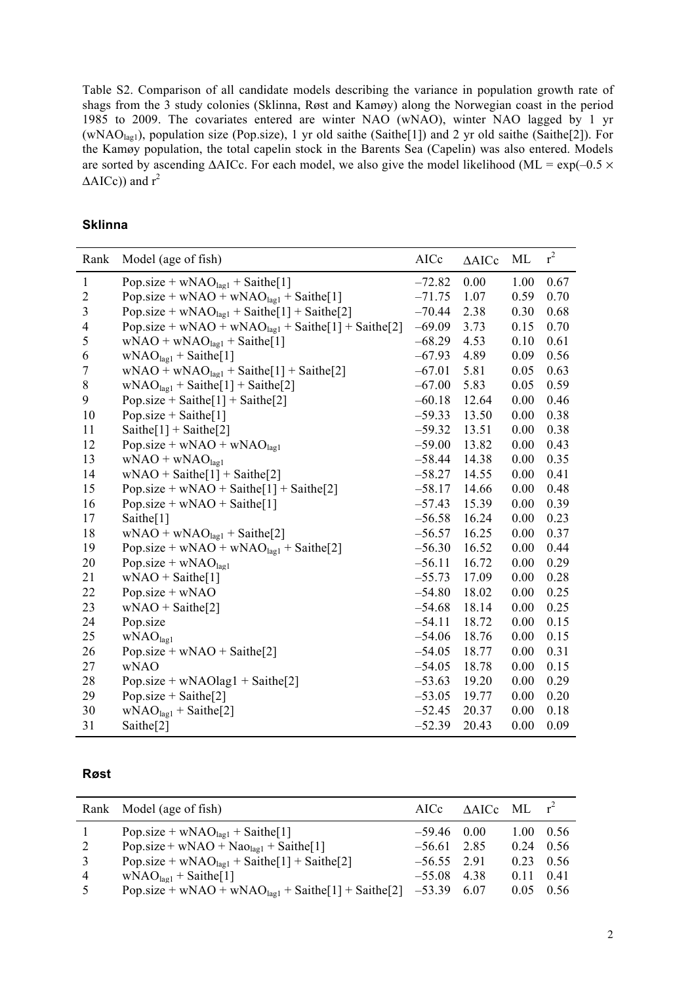Table S2. Comparison of all candidate models describing the variance in population growth rate of shags from the 3 study colonies (Sklinna, Røst and Kamøy) along the Norwegian coast in the period 1985 to 2009. The covariates entered are winter NAO (wNAO), winter NAO lagged by 1 yr (wNAOlag1), population size (Pop.size), 1 yr old saithe (Saithe[1]) and 2 yr old saithe (Saithe[2]). For the Kamøy population, the total capelin stock in the Barents Sea (Capelin) was also entered. Models are sorted by ascending  $\triangle$ AICc. For each model, we also give the model likelihood (ML = exp(-0.5  $\times$  $\Delta AICc$ ) and  $r^2$ 

## **Sklinna**

| Rank                     | Model (age of fish)                                             | AICc     | $\triangle$ AICc | ML   | $r^2$ |
|--------------------------|-----------------------------------------------------------------|----------|------------------|------|-------|
| $\mathbf{1}$             | Pop.size + $wNAOlag1$ + Saithe[1]                               | $-72.82$ | 0.00             | 1.00 | 0.67  |
| $\mathbf{2}$             | Pop.size + wNAO + wNAO $_{\text{lagl}}$ + Saithe[1]             | $-71.75$ | 1.07             | 0.59 | 0.70  |
| $\overline{3}$           | Pop.size + $wNAO_{\text{la}l}$ + Saithe[1] + Saithe[2]          | $-70.44$ | 2.38             | 0.30 | 0.68  |
| $\overline{\mathcal{A}}$ | Pop.size + wNAO + wNAO $_{\text{lag1}}$ + Saithe[1] + Saithe[2] | $-69.09$ | 3.73             | 0.15 | 0.70  |
| 5                        | $wNAO + wNAOlag1 + Sainthe[1]$                                  | $-68.29$ | 4.53             | 0.10 | 0.61  |
| 6                        | $WNAOlag1 + Sainthe[1]$                                         | $-67.93$ | 4.89             | 0.09 | 0.56  |
| 7                        | $wNAO + wNAOlag1 + Sainthe[1] + Sainthe[2]$                     | $-67.01$ | 5.81             | 0.05 | 0.63  |
| 8                        | $wNAOlag1 + Sainthe[1] + Sainthe[2]$                            | $-67.00$ | 5.83             | 0.05 | 0.59  |
| 9                        | Pop.size + Saithe $[1]$ + Saithe $[2]$                          | $-60.18$ | 12.64            | 0.00 | 0.46  |
| 10                       | Pop.size + Saithe[1]                                            | $-59.33$ | 13.50            | 0.00 | 0.38  |
| 11                       | Saithe $[1]$ + Saithe $[2]$                                     | $-59.32$ | 13.51            | 0.00 | 0.38  |
| 12                       | Pop.size + $wNAO + wNAO_{lag1}$                                 | $-59.00$ | 13.82            | 0.00 | 0.43  |
| 13                       | $wNAO + wNAOlag1$                                               | $-58.44$ | 14.38            | 0.00 | 0.35  |
| 14                       | $wNAO + Sainthe[1] + Sainthe[2]$                                | $-58.27$ | 14.55            | 0.00 | 0.41  |
| 15                       | Pop.size + wNAO + Saithe[1] + Saithe[2]                         | $-58.17$ | 14.66            | 0.00 | 0.48  |
| 16                       | Pop.size + $wNAO + Saithe[1]$                                   | $-57.43$ | 15.39            | 0.00 | 0.39  |
| 17                       | Saithe[1]                                                       | $-56.58$ | 16.24            | 0.00 | 0.23  |
| 18                       | $wNAO + wNAOlag1 + Sainthe[2]$                                  | $-56.57$ | 16.25            | 0.00 | 0.37  |
| 19                       | Pop.size + wNAO + wNAO $_{lag1}$ + Saithe[2]                    | $-56.30$ | 16.52            | 0.00 | 0.44  |
| 20                       | Pop.size + $wNAOlag1$                                           | $-56.11$ | 16.72            | 0.00 | 0.29  |
| 21                       | $wNAO + Sainthe[1]$                                             | $-55.73$ | 17.09            | 0.00 | 0.28  |
| 22                       | Pop.size + $wNAO$                                               | $-54.80$ | 18.02            | 0.00 | 0.25  |
| 23                       | $wNAO + Sainthe[2]$                                             | $-54.68$ | 18.14            | 0.00 | 0.25  |
| 24                       | Pop.size                                                        | $-54.11$ | 18.72            | 0.00 | 0.15  |
| 25                       | WNAO <sub>lagl</sub>                                            | $-54.06$ | 18.76            | 0.00 | 0.15  |
| 26                       | Pop.size + $wNAO + Saithe[2]$                                   | $-54.05$ | 18.77            | 0.00 | 0.31  |
| 27                       | wNAO                                                            | $-54.05$ | 18.78            | 0.00 | 0.15  |
| 28                       | Pop.size + $wNAOlag1 + Saintel2$                                | $-53.63$ | 19.20            | 0.00 | 0.29  |
| 29                       | Pop.size + Saithe[2]                                            | $-53.05$ | 19.77            | 0.00 | 0.20  |
| 30                       | $wNAOlagl + Sainthe[2]$                                         | $-52.45$ | 20.37            | 0.00 | 0.18  |
| 31                       | Saithe <sup>[2]</sup>                                           | $-52.39$ | 20.43            | 0.00 | 0.09  |

## **Røst**

|   | Rank Model (age of fish)                                          |               | AICc $\triangle$ AICc ML $r^2$ |                   |       |
|---|-------------------------------------------------------------------|---------------|--------------------------------|-------------------|-------|
|   | Pop.size + $wNAOlagl$ + Saithe[1]                                 | $-59.46$ 0.00 |                                | $1.00 \quad 0.56$ |       |
| 2 | Pop.size + wNAO + $\text{NaO}_{\text{lag1}}$ + $\text{Saithe}[1]$ | $-56.61$ 2.85 |                                | 0.24              | 0.56  |
| 3 | Pop.size + $wNAOlagl$ + Saithe[1] + Saithe[2]                     | $-56.55$ 2.91 |                                | 0.23              | -0.56 |
| 4 | $WNAOlagl + Saithe[1]$                                            | $-55.08$ 4.38 |                                | 0.11              | 0.41  |
| 5 | Pop.size + wNAO + wNAO $_{lag1}$ + Saithe[1] + Saithe[2]          | $-53.39$      | 6.07                           | 0.05              | 0.56  |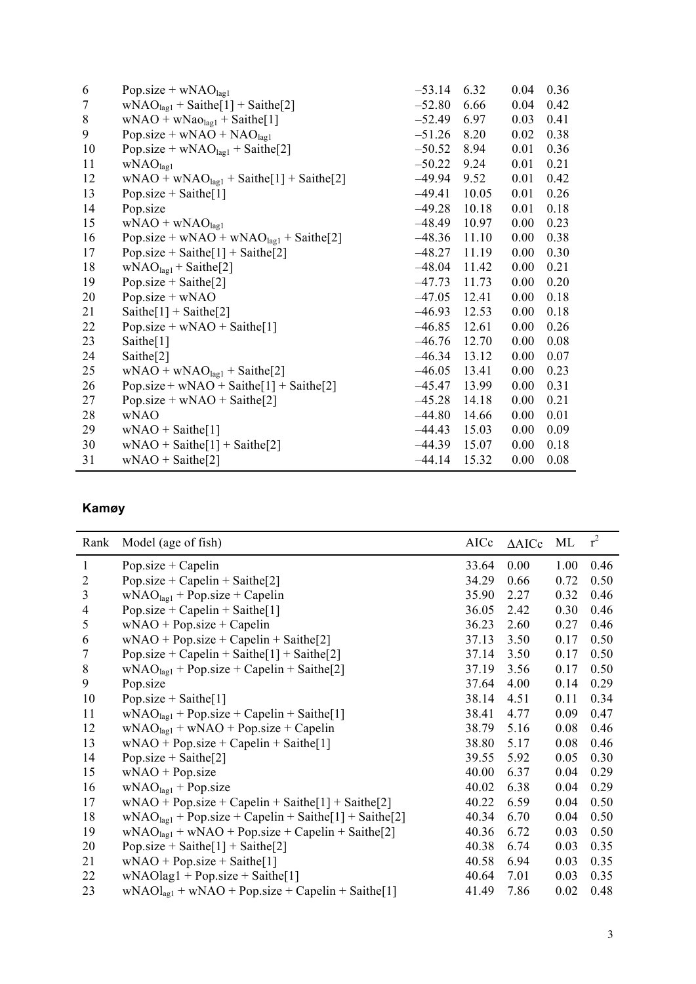| 6       | Pop.size + $wNAOlag1$                        | $-53.14$ | 6.32  | 0.04 | 0.36 |
|---------|----------------------------------------------|----------|-------|------|------|
| $\tau$  | $wNAOlag1 + Sainthe[1] + Sainthe[2]$         | $-52.80$ | 6.66  | 0.04 | 0.42 |
| $\,8\,$ | $wNAO + wNaOlag1 + Sainthe[1]$               | $-52.49$ | 6.97  | 0.03 | 0.41 |
| 9       | Pop.size + $wNAO + NAO_{lag1}$               | $-51.26$ | 8.20  | 0.02 | 0.38 |
| 10      | Pop.size + $wNAOlag1$ + Saithe[2]            | $-50.52$ | 8.94  | 0.01 | 0.36 |
| 11      | WNAO <sub>lag1</sub>                         | $-50.22$ | 9.24  | 0.01 | 0.21 |
| 12      | $wNAO + wNAOlag1 + Sainthe[1] + Sainthe[2]$  | $-49.94$ | 9.52  | 0.01 | 0.42 |
| 13      | Pop.size + Saithe[1]                         | $-49.41$ | 10.05 | 0.01 | 0.26 |
| 14      | Pop.size                                     | $-49.28$ | 10.18 | 0.01 | 0.18 |
| 15      | $wNAO + wNAOlag1$                            | $-48.49$ | 10.97 | 0.00 | 0.23 |
| 16      | Pop.size + wNAO + wNAO $_{lag1}$ + Saithe[2] | $-48.36$ | 11.10 | 0.00 | 0.38 |
| 17      | Pop.size + Saithe[1] + Saithe[2]             | $-48.27$ | 11.19 | 0.00 | 0.30 |
| 18      | $wNAOlag1 + Sainthe[2]$                      | $-48.04$ | 11.42 | 0.00 | 0.21 |
| 19      | Pop.size + Saithe[2]                         | $-47.73$ | 11.73 | 0.00 | 0.20 |
| 20      | Pop.size + wNAO                              | $-47.05$ | 12.41 | 0.00 | 0.18 |
| 21      | Saithe $[1]$ + Saithe $[2]$                  | $-46.93$ | 12.53 | 0.00 | 0.18 |
| 22      | Pop.size + $wNAO + Saithe[1]$                | $-46.85$ | 12.61 | 0.00 | 0.26 |
| 23      | Saithe <sup>[1]</sup>                        | $-46.76$ | 12.70 | 0.00 | 0.08 |
| 24      | Saithe $[2]$                                 | $-46.34$ | 13.12 | 0.00 | 0.07 |
| 25      | $wNAO + wNAOlag1 + Sainthe[2]$               | $-46.05$ | 13.41 | 0.00 | 0.23 |
| 26      | Pop.size + $wNAO + Saithe[1] + Saithe[2]$    | $-45.47$ | 13.99 | 0.00 | 0.31 |
| 27      | Pop.size + $wNAO + Saithe[2]$                | $-45.28$ | 14.18 | 0.00 | 0.21 |
| 28      | <b>wNAO</b>                                  | $-44.80$ | 14.66 | 0.00 | 0.01 |
| 29      | $wNAO + Sainthe[1]$                          | $-44.43$ | 15.03 | 0.00 | 0.09 |
| 30      | $wNAO + Sainthe[1] + Sainthe[2]$             | $-44.39$ | 15.07 | 0.00 | 0.18 |
| 31      | $wNAO + Saithe[2]$                           | $-44.14$ | 15.32 | 0.00 | 0.08 |
|         |                                              |          |       |      |      |

## **Kamøy**

| Rank                     | Model (age of fish)                                   | AICc  | $\triangle$ AICc | ML   | $r^2$ |
|--------------------------|-------------------------------------------------------|-------|------------------|------|-------|
| $\mathbf{1}$             | Pop.size $+$ Capelin                                  | 33.64 | 0.00             | 1.00 | 0.46  |
| $\overline{c}$           | Pop.size + Capelin + Saithe[2]                        | 34.29 | 0.66             | 0.72 | 0.50  |
| $\overline{3}$           | $WNAOlag1 + Pop.size + Capelin$                       | 35.90 | 2.27             | 0.32 | 0.46  |
| $\overline{\mathcal{A}}$ | Pop.size + Capelin + Saithe[1]                        | 36.05 | 2.42             | 0.30 | 0.46  |
| 5                        | $wNAO + Pop.size + Capelin$                           | 36.23 | 2.60             | 0.27 | 0.46  |
| 6                        | $wNAO + Pop.size + Capelin + Sainthe[2]$              | 37.13 | 3.50             | 0.17 | 0.50  |
| 7                        | Pop.size + Capelin + Saithe $[1]$ + Saithe $[2]$      | 37.14 | 3.50             | 0.17 | 0.50  |
| $8\,$                    | $wNAOlag1 + Pop.size + Capelin + Saint[2]$            | 37.19 | 3.56             | 0.17 | 0.50  |
| 9                        | Pop.size                                              | 37.64 | 4.00             | 0.14 | 0.29  |
| 10                       | Pop.size + Saithe[1]                                  | 38.14 | 4.51             | 0.11 | 0.34  |
| 11                       | $WNAOlag1 + Pop.size + Capelin + Saint[1]$            | 38.41 | 4.77             | 0.09 | 0.47  |
| 12                       | $WNAOlag1 + wNAO + Pop.size + Capelin$                | 38.79 | 5.16             | 0.08 | 0.46  |
| 13                       | $wNAO + Pop.size + Capelin + Sainthe[1]$              | 38.80 | 5.17             | 0.08 | 0.46  |
| 14                       | Pop.size + Saithe[2]                                  | 39.55 | 5.92             | 0.05 | 0.30  |
| 15                       | $wNAO + Pop.size$                                     | 40.00 | 6.37             | 0.04 | 0.29  |
| 16                       | $WNAOlag1 + Pop.size$                                 | 40.02 | 6.38             | 0.04 | 0.29  |
| 17                       | $wNAO + Pop.size + Capelin + Saint[1] + Saint[e2]$    | 40.22 | 6.59             | 0.04 | 0.50  |
| 18                       | $wNAOlag1 + Pop.size + Capelin + Saint[1] + Saint[2]$ | 40.34 | 6.70             | 0.04 | 0.50  |
| 19                       | $wNAOlag1 + wNAO + Pop.size + Capelin + Saint[2]$     | 40.36 | 6.72             | 0.03 | 0.50  |
| 20                       | Pop.size + Saithe[1] + Saithe[2]                      | 40.38 | 6.74             | 0.03 | 0.35  |
| 21                       | $wNAO + Pop.size + Saint[1]$                          | 40.58 | 6.94             | 0.03 | 0.35  |
| 22                       | $wNAOlag1 + Pop.size + Sainthe[1]$                    | 40.64 | 7.01             | 0.03 | 0.35  |
| 23                       | $wNAOlag1 + wNAO + Pop.size + Capelin + Saithe[1]$    | 41.49 | 7.86             | 0.02 | 0.48  |